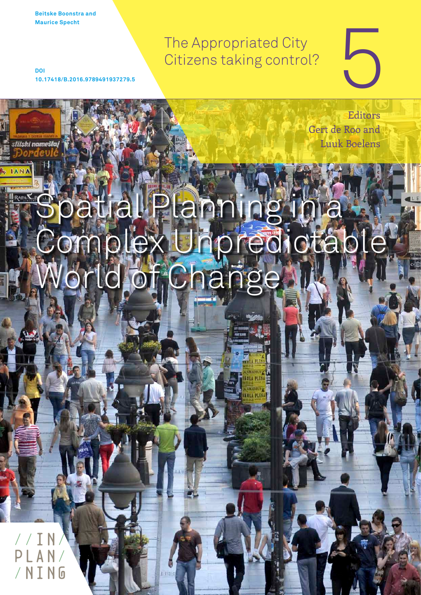**Beitske Boonstra and Maurice Specht**

**IAN** 

The Appropriated City Citizens taking control?

**DOI 10.17418/B.2016.9789491937279.5**

> Editors Gert de Roo and Luuk Boelens

5

# patial Planning in Complex Unpredictable World of Change

 $//T$ / N T N G

bibiphoto / Shutterstock.com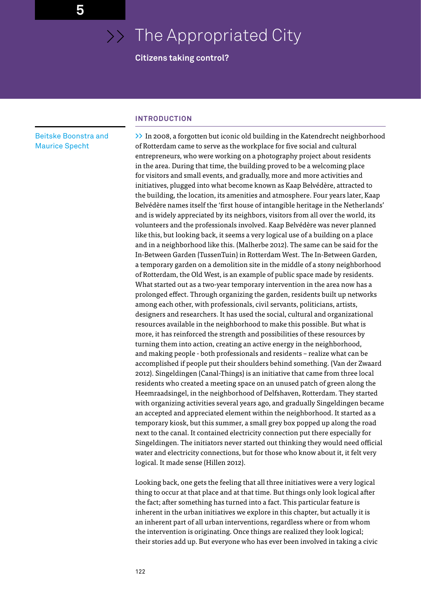# >> The Appropriated City

# **Citizens taking control?**

# Beitske Boonstra and Maurice Specht

#### **INTRODUCTION**

**>>** In 2008, a forgotten but iconic old building in the Katendrecht neighborhood of Rotterdam came to serve as the workplace for five social and cultural entrepreneurs, who were working on a photography project about residents in the area. During that time, the building proved to be a welcoming place for visitors and small events, and gradually, more and more activities and initiatives, plugged into what become known as Kaap Belvédère, attracted to the building, the location, its amenities and atmosphere. Four years later, Kaap Belvédère names itself the 'first house of intangible heritage in the Netherlands' and is widely appreciated by its neighbors, visitors from all over the world, its volunteers and the professionals involved. Kaap Belvédère was never planned like this, but looking back, it seems a very logical use of a building on a place and in a neighborhood like this. (Malherbe 2012). The same can be said for the In-Between Garden (TussenTuin) in Rotterdam West. The In-Between Garden, a temporary garden on a demolition site in the middle of a stony neighborhood of Rotterdam, the Old West, is an example of public space made by residents. What started out as a two-year temporary intervention in the area now has a prolonged effect. Through organizing the garden, residents built up networks among each other, with professionals, civil servants, politicians, artists, designers and researchers. It has used the social, cultural and organizational resources available in the neighborhood to make this possible. But what is more, it has reinforced the strength and possibilities of these resources by turning them into action, creating an active energy in the neighborhood, and making people - both professionals and residents – realize what can be accomplished if people put their shoulders behind something. (Van der Zwaard 2012). Singeldingen (Canal-Things) is an initiative that came from three local residents who created a meeting space on an unused patch of green along the Heemraadsingel, in the neighborhood of Delfshaven, Rotterdam. They started with organizing activities several years ago, and gradually Singeldingen became an accepted and appreciated element within the neighborhood. It started as a temporary kiosk, but this summer, a small grey box popped up along the road next to the canal. It contained electricity connection put there especially for Singeldingen. The initiators never started out thinking they would need official water and electricity connections, but for those who know about it, it felt very logical. It made sense (Hillen 2012).

Looking back, one gets the feeling that all three initiatives were a very logical thing to occur at that place and at that time. But things only look logical after the fact; after something has turned into a fact. This particular feature is inherent in the urban initiatives we explore in this chapter, but actually it is an inherent part of all urban interventions, regardless where or from whom the intervention is originating. Once things are realized they look logical; their stories add up. But everyone who has ever been involved in taking a civic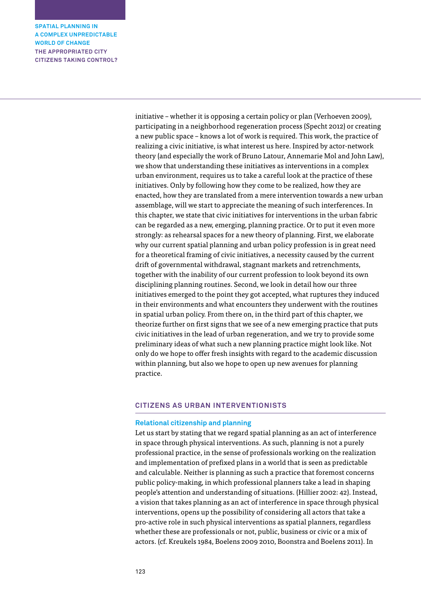> initiative – whether it is opposing a certain policy or plan (Verhoeven 2009), participating in a neighborhood regeneration process (Specht 2012) or creating a new public space – knows a lot of work is required. This work, the practice of realizing a civic initiative, is what interest us here. Inspired by actor-network theory (and especially the work of Bruno Latour, Annemarie Mol and John Law), we show that understanding these initiatives as interventions in a complex urban environment, requires us to take a careful look at the practice of these initiatives. Only by following how they come to be realized, how they are enacted, how they are translated from a mere intervention towards a new urban assemblage, will we start to appreciate the meaning of such interferences. In this chapter, we state that civic initiatives for interventions in the urban fabric can be regarded as a new, emerging, planning practice. Or to put it even more strongly: as rehearsal spaces for a new theory of planning. First, we elaborate why our current spatial planning and urban policy profession is in great need for a theoretical framing of civic initiatives, a necessity caused by the current drift of governmental withdrawal, stagnant markets and retrenchments, together with the inability of our current profession to look beyond its own disciplining planning routines. Second, we look in detail how our three initiatives emerged to the point they got accepted, what ruptures they induced in their environments and what encounters they underwent with the routines in spatial urban policy. From there on, in the third part of this chapter, we theorize further on first signs that we see of a new emerging practice that puts civic initiatives in the lead of urban regeneration, and we try to provide some preliminary ideas of what such a new planning practice might look like. Not only do we hope to offer fresh insights with regard to the academic discussion within planning, but also we hope to open up new avenues for planning practice.

# **CITIZENS AS URBAN INTERVENTIONISTS**

## **Relational citizenship and planning**

Let us start by stating that we regard spatial planning as an act of interference in space through physical interventions. As such, planning is not a purely professional practice, in the sense of professionals working on the realization and implementation of prefixed plans in a world that is seen as predictable and calculable. Neither is planning as such a practice that foremost concerns public policy-making, in which professional planners take a lead in shaping people's attention and understanding of situations. (Hillier 2002: 42). Instead, a vision that takes planning as an act of interference in space through physical interventions, opens up the possibility of considering all actors that take a pro-active role in such physical interventions as spatial planners, regardless whether these are professionals or not, public, business or civic or a mix of actors. (cf. Kreukels 1984, Boelens 2009 2010, Boonstra and Boelens 2011). In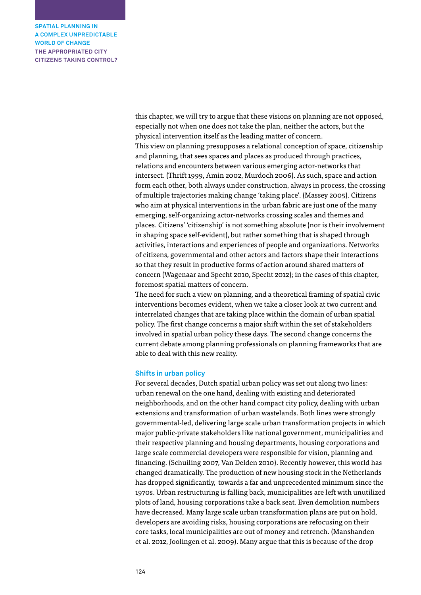> this chapter, we will try to argue that these visions on planning are not opposed, especially not when one does not take the plan, neither the actors, but the physical intervention itself as the leading matter of concern. This view on planning presupposes a relational conception of space, citizenship and planning, that sees spaces and places as produced through practices, relations and encounters between various emerging actor-networks that intersect. (Thrift 1999, Amin 2002, Murdoch 2006). As such, space and action form each other, both always under construction, always in process, the crossing of multiple trajectories making change 'taking place'. (Massey 2005). Citizens who aim at physical interventions in the urban fabric are just one of the many emerging, self-organizing actor-networks crossing scales and themes and places. Citizens' 'citizenship' is not something absolute (nor is their involvement in shaping space self-evident), but rather something that is shaped through activities, interactions and experiences of people and organizations. Networks of citizens, governmental and other actors and factors shape their interactions so that they result in productive forms of action around shared matters of concern (Wagenaar and Specht 2010, Specht 2012); in the cases of this chapter, foremost spatial matters of concern.

The need for such a view on planning, and a theoretical framing of spatial civic interventions becomes evident, when we take a closer look at two current and interrelated changes that are taking place within the domain of urban spatial policy. The first change concerns a major shift within the set of stakeholders involved in spatial urban policy these days. The second change concerns the current debate among planning professionals on planning frameworks that are able to deal with this new reality.

#### **Shifts in urban policy**

For several decades, Dutch spatial urban policy was set out along two lines: urban renewal on the one hand, dealing with existing and deteriorated neighborhoods, and on the other hand compact city policy, dealing with urban extensions and transformation of urban wastelands. Both lines were strongly governmental-led, delivering large scale urban transformation projects in which major public-private stakeholders like national government, municipalities and their respective planning and housing departments, housing corporations and large scale commercial developers were responsible for vision, planning and financing. (Schuiling 2007, Van Delden 2010). Recently however, this world has changed dramatically. The production of new housing stock in the Netherlands has dropped significantly, towards a far and unprecedented minimum since the 1970s. Urban restructuring is falling back, municipalities are left with unutilized plots of land, housing corporations take a back seat. Even demolition numbers have decreased. Many large scale urban transformation plans are put on hold, developers are avoiding risks, housing corporations are refocusing on their core tasks, local municipalities are out of money and retrench. (Manshanden et al. 2012, Joolingen et al. 2009). Many argue that this is because of the drop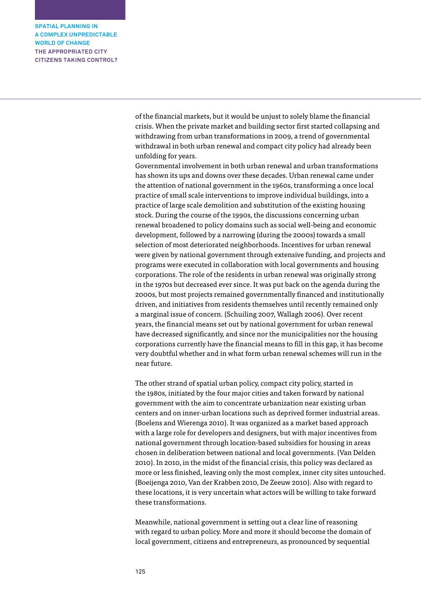> of the financial markets, but it would be unjust to solely blame the financial crisis. When the private market and building sector first started collapsing and withdrawing from urban transformations in 2009, a trend of governmental withdrawal in both urban renewal and compact city policy had already been unfolding for years.

Governmental involvement in both urban renewal and urban transformations has shown its ups and downs over these decades. Urban renewal came under the attention of national government in the 1960s, transforming a once local practice of small scale interventions to improve individual buildings, into a practice of large scale demolition and substitution of the existing housing stock. During the course of the 1990s, the discussions concerning urban renewal broadened to policy domains such as social well-being and economic development, followed by a narrowing (during the 2000s) towards a small selection of most deteriorated neighborhoods. Incentives for urban renewal were given by national government through extensive funding, and projects and programs were executed in collaboration with local governments and housing corporations. The role of the residents in urban renewal was originally strong in the 1970s but decreased ever since. It was put back on the agenda during the 2000s, but most projects remained governmentally financed and institutionally driven, and initiatives from residents themselves until recently remained only a marginal issue of concern. (Schuiling 2007, Wallagh 2006). Over recent years, the financial means set out by national government for urban renewal have decreased significantly, and since nor the municipalities nor the housing corporations currently have the financial means to fill in this gap, it has become very doubtful whether and in what form urban renewal schemes will run in the near future.

The other strand of spatial urban policy, compact city policy, started in the 1980s, initiated by the four major cities and taken forward by national government with the aim to concentrate urbanization near existing urban centers and on inner-urban locations such as deprived former industrial areas. (Boelens and Wierenga 2010). It was organized as a market based approach with a large role for developers and designers, but with major incentives from national government through location-based subsidies for housing in areas chosen in deliberation between national and local governments. (Van Delden 2010). In 2010, in the midst of the financial crisis, this policy was declared as more or less finished, leaving only the most complex, inner city sites untouched. (Boeijenga 2010, Van der Krabben 2010, De Zeeuw 2010). Also with regard to these locations, it is very uncertain what actors will be willing to take forward these transformations.

Meanwhile, national government is setting out a clear line of reasoning with regard to urban policy. More and more it should become the domain of local government, citizens and entrepreneurs, as pronounced by sequential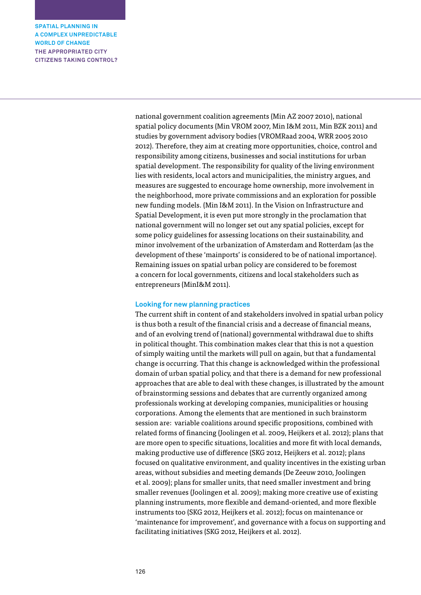> national government coalition agreements (Min AZ 2007 2010), national spatial policy documents (Min VROM 2007, Min I&M 2011, Min BZK 2011) and studies by government advisory bodies (VROMRaad 2004, WRR 2005 2010 2012). Therefore, they aim at creating more opportunities, choice, control and responsibility among citizens, businesses and social institutions for urban spatial development. The responsibility for quality of the living environment lies with residents, local actors and municipalities, the ministry argues, and measures are suggested to encourage home ownership, more involvement in the neighborhood, more private commissions and an exploration for possible new funding models. (Min I&M 2011). In the Vision on Infrastructure and Spatial Development, it is even put more strongly in the proclamation that national government will no longer set out any spatial policies, except for some policy guidelines for assessing locations on their sustainability, and minor involvement of the urbanization of Amsterdam and Rotterdam (as the development of these 'mainports' is considered to be of national importance). Remaining issues on spatial urban policy are considered to be foremost a concern for local governments, citizens and local stakeholders such as entrepreneurs (MinI&M 2011).

### **Looking for new planning practices**

The current shift in content of and stakeholders involved in spatial urban policy is thus both a result of the financial crisis and a decrease of financial means, and of an evolving trend of (national) governmental withdrawal due to shifts in political thought. This combination makes clear that this is not a question of simply waiting until the markets will pull on again, but that a fundamental change is occurring. That this change is acknowledged within the professional domain of urban spatial policy, and that there is a demand for new professional approaches that are able to deal with these changes, is illustrated by the amount of brainstorming sessions and debates that are currently organized among professionals working at developing companies, municipalities or housing corporations. Among the elements that are mentioned in such brainstorm session are: variable coalitions around specific propositions, combined with related forms of financing (Joolingen et al. 2009, Heijkers et al. 2012); plans that are more open to specific situations, localities and more fit with local demands, making productive use of difference (SKG 2012, Heijkers et al. 2012); plans focused on qualitative environment, and quality incentives in the existing urban areas, without subsidies and meeting demands (De Zeeuw 2010, Joolingen et al. 2009); plans for smaller units, that need smaller investment and bring smaller revenues (Joolingen et al. 2009); making more creative use of existing planning instruments, more flexible and demand-oriented, and more flexible instruments too (SKG 2012, Heijkers et al. 2012); focus on maintenance or 'maintenance for improvement', and governance with a focus on supporting and facilitating initiatives (SKG 2012, Heijkers et al. 2012).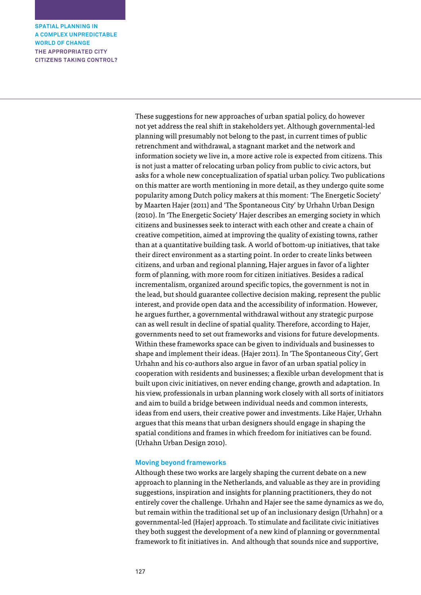> These suggestions for new approaches of urban spatial policy, do however not yet address the real shift in stakeholders yet. Although governmental-led planning will presumably not belong to the past, in current times of public retrenchment and withdrawal, a stagnant market and the network and information society we live in, a more active role is expected from citizens. This is not just a matter of relocating urban policy from public to civic actors, but asks for a whole new conceptualization of spatial urban policy. Two publications on this matter are worth mentioning in more detail, as they undergo quite some popularity among Dutch policy makers at this moment: 'The Energetic Society' by Maarten Hajer (2011) and 'The Spontaneous City' by Urhahn Urban Design (2010). In 'The Energetic Society' Hajer describes an emerging society in which citizens and businesses seek to interact with each other and create a chain of creative competition, aimed at improving the quality of existing towns, rather than at a quantitative building task. A world of bottom-up initiatives, that take their direct environment as a starting point. In order to create links between citizens, and urban and regional planning, Hajer argues in favor of a lighter form of planning, with more room for citizen initiatives. Besides a radical incrementalism, organized around specific topics, the government is not in the lead, but should guarantee collective decision making, represent the public interest, and provide open data and the accessibility of information. However, he argues further, a governmental withdrawal without any strategic purpose can as well result in decline of spatial quality. Therefore, according to Hajer, governments need to set out frameworks and visions for future developments. Within these frameworks space can be given to individuals and businesses to shape and implement their ideas. (Hajer 2011). In 'The Spontaneous City', Gert Urhahn and his co-authors also argue in favor of an urban spatial policy in cooperation with residents and businesses; a flexible urban development that is built upon civic initiatives, on never ending change, growth and adaptation. In his view, professionals in urban planning work closely with all sorts of initiators and aim to build a bridge between individual needs and common interests, ideas from end users, their creative power and investments. Like Hajer, Urhahn argues that this means that urban designers should engage in shaping the spatial conditions and frames in which freedom for initiatives can be found. (Urhahn Urban Design 2010).

#### **Moving beyond frameworks**

Although these two works are largely shaping the current debate on a new approach to planning in the Netherlands, and valuable as they are in providing suggestions, inspiration and insights for planning practitioners, they do not entirely cover the challenge. Urhahn and Hajer see the same dynamics as we do, but remain within the traditional set up of an inclusionary design (Urhahn) or a governmental-led (Hajer) approach. To stimulate and facilitate civic initiatives they both suggest the development of a new kind of planning or governmental framework to fit initiatives in. And although that sounds nice and supportive,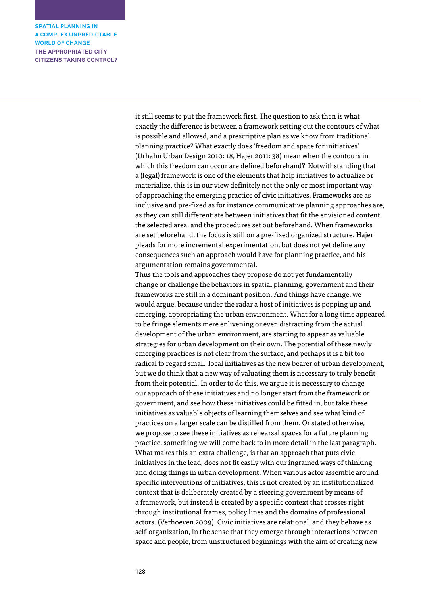> it still seems to put the framework first. The question to ask then is what exactly the difference is between a framework setting out the contours of what is possible and allowed, and a prescriptive plan as we know from traditional planning practice? What exactly does 'freedom and space for initiatives' (Urhahn Urban Design 2010: 18, Hajer 2011: 38) mean when the contours in which this freedom can occur are defined beforehand? Notwithstanding that a (legal) framework is one of the elements that help initiatives to actualize or materialize, this is in our view definitely not the only or most important way of approaching the emerging practice of civic initiatives. Frameworks are as inclusive and pre-fixed as for instance communicative planning approaches are, as they can still differentiate between initiatives that fit the envisioned content, the selected area, and the procedures set out beforehand. When frameworks are set beforehand, the focus is still on a pre-fixed organized structure. Hajer pleads for more incremental experimentation, but does not yet define any consequences such an approach would have for planning practice, and his argumentation remains governmental.

> Thus the tools and approaches they propose do not yet fundamentally change or challenge the behaviors in spatial planning; government and their frameworks are still in a dominant position. And things have change, we would argue, because under the radar a host of initiatives is popping up and emerging, appropriating the urban environment. What for a long time appeared to be fringe elements mere enlivening or even distracting from the actual development of the urban environment, are starting to appear as valuable strategies for urban development on their own. The potential of these newly emerging practices is not clear from the surface, and perhaps it is a bit too radical to regard small, local initiatives as the new bearer of urban development, but we do think that a new way of valuating them is necessary to truly benefit from their potential. In order to do this, we argue it is necessary to change our approach of these initiatives and no longer start from the framework or government, and see how these initiatives could be fitted in, but take these initiatives as valuable objects of learning themselves and see what kind of practices on a larger scale can be distilled from them. Or stated otherwise, we propose to see these initiatives as rehearsal spaces for a future planning practice, something we will come back to in more detail in the last paragraph. What makes this an extra challenge, is that an approach that puts civic initiatives in the lead, does not fit easily with our ingrained ways of thinking and doing things in urban development. When various actor assemble around specific interventions of initiatives, this is not created by an institutionalized context that is deliberately created by a steering government by means of a framework, but instead is created by a specific context that crosses right through institutional frames, policy lines and the domains of professional actors. (Verhoeven 2009). Civic initiatives are relational, and they behave as self-organization, in the sense that they emerge through interactions between space and people, from unstructured beginnings with the aim of creating new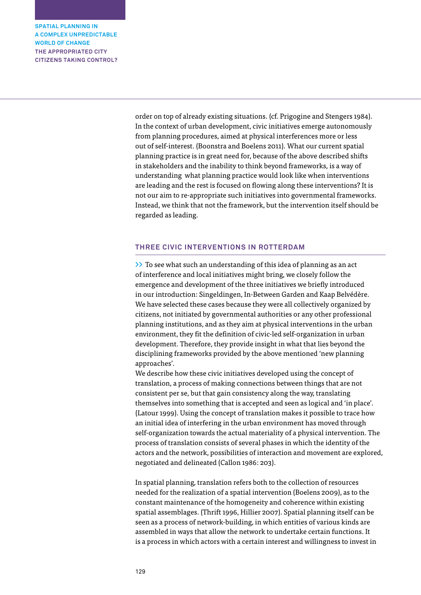> order on top of already existing situations. (cf. Prigogine and Stengers 1984). In the context of urban development, civic initiatives emerge autonomously from planning procedures, aimed at physical interferences more or less out of self-interest. (Boonstra and Boelens 2011). What our current spatial planning practice is in great need for, because of the above described shifts in stakeholders and the inability to think beyond frameworks, is a way of understanding what planning practice would look like when interventions are leading and the rest is focused on flowing along these interventions? It is not our aim to re-appropriate such initiatives into governmental frameworks. Instead, we think that not the framework, but the intervention itself should be regarded as leading.

# **THREE CIVIC INTERVENTIONS IN ROTTERDAM**

**>>** To see what such an understanding of this idea of planning as an act of interference and local initiatives might bring, we closely follow the emergence and development of the three initiatives we briefly introduced in our introduction: Singeldingen, In-Between Garden and Kaap Belvédère. We have selected these cases because they were all collectively organized by citizens, not initiated by governmental authorities or any other professional planning institutions, and as they aim at physical interventions in the urban environment, they fit the definition of civic-led self-organization in urban development. Therefore, they provide insight in what that lies beyond the disciplining frameworks provided by the above mentioned 'new planning approaches'.

We describe how these civic initiatives developed using the concept of translation, a process of making connections between things that are not consistent per se, but that gain consistency along the way, translating themselves into something that is accepted and seen as logical and 'in place'. (Latour 1999). Using the concept of translation makes it possible to trace how an initial idea of interfering in the urban environment has moved through self-organization towards the actual materiality of a physical intervention. The process of translation consists of several phases in which the identity of the actors and the network, possibilities of interaction and movement are explored, negotiated and delineated (Callon 1986: 203).

In spatial planning, translation refers both to the collection of resources needed for the realization of a spatial intervention (Boelens 2009), as to the constant maintenance of the homogeneity and coherence within existing spatial assemblages. (Thrift 1996, Hillier 2007). Spatial planning itself can be seen as a process of network-building, in which entities of various kinds are assembled in ways that allow the network to undertake certain functions. It is a process in which actors with a certain interest and willingness to invest in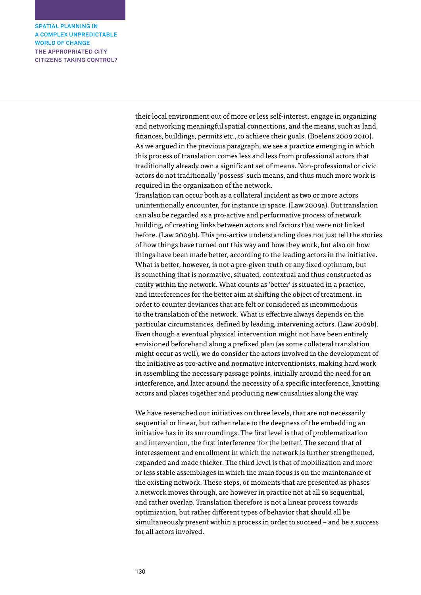their local environment out of more or less self-interest, engage in organizing and networking meaningful spatial connections, and the means, such as land, finances, buildings, permits etc., to achieve their goals. (Boelens 2009 2010). As we argued in the previous paragraph, we see a practice emerging in which this process of translation comes less and less from professional actors that traditionally already own a significant set of means. Non-professional or civic actors do not traditionally 'possess' such means, and thus much more work is required in the organization of the network.

Translation can occur both as a collateral incident as two or more actors unintentionally encounter, for instance in space. (Law 2009a). But translation can also be regarded as a pro-active and performative process of network building, of creating links between actors and factors that were not linked before. (Law 2009b). This pro-active understanding does not just tell the stories of how things have turned out this way and how they work, but also on how things have been made better, according to the leading actors in the initiative. What is better, however, is not a pre-given truth or any fixed optimum, but is something that is normative, situated, contextual and thus constructed as entity within the network. What counts as 'better' is situated in a practice, and interferences for the better aim at shifting the object of treatment, in order to counter deviances that are felt or considered as incommodious to the translation of the network. What is effective always depends on the particular circumstances, defined by leading, intervening actors. (Law 2009b). Even though a eventual physical intervention might not have been entirely envisioned beforehand along a prefixed plan (as some collateral translation might occur as well), we do consider the actors involved in the development of the initiative as pro-active and normative interventionists, making hard work in assembling the necessary passage points, initially around the need for an interference, and later around the necessity of a specific interference, knotting actors and places together and producing new causalities along the way.

We have reserached our initiatives on three levels, that are not necessarily sequential or linear, but rather relate to the deepness of the embedding an initiative has in its surroundings. The first level is that of problematization and intervention, the first interference 'for the better'. The second that of interessement and enrollment in which the network is further strengthened, expanded and made thicker. The third level is that of mobilization and more or less stable assemblages in which the main focus is on the maintenance of the existing network. These steps, or moments that are presented as phases a network moves through, are however in practice not at all so sequential, and rather overlap. Translation therefore is not a linear process towards optimization, but rather different types of behavior that should all be simultaneously present within a process in order to succeed – and be a success for all actors involved.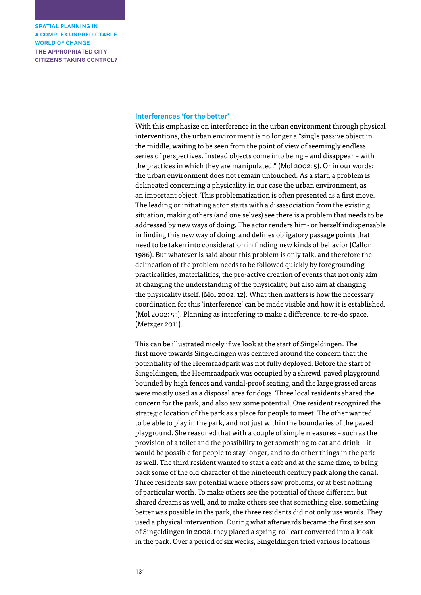#### **Interferences 'for the better'**

With this emphasize on interference in the urban environment through physical interventions, the urban environment is no longer a "single passive object in the middle, waiting to be seen from the point of view of seemingly endless series of perspectives. Instead objects come into being – and disappear – with the practices in which they are manipulated." (Mol 2002: 5). Or in our words: the urban environment does not remain untouched. As a start, a problem is delineated concerning a physicality, in our case the urban environment, as an important object. This problematization is often presented as a first move. The leading or initiating actor starts with a disassociation from the existing situation, making others (and one selves) see there is a problem that needs to be addressed by new ways of doing. The actor renders him- or herself indispensable in finding this new way of doing, and defines obligatory passage points that need to be taken into consideration in finding new kinds of behavior (Callon 1986). But whatever is said about this problem is only talk, and therefore the delineation of the problem needs to be followed quickly by foregrounding practicalities, materialities, the pro-active creation of events that not only aim at changing the understanding of the physicality, but also aim at changing the physicality itself. (Mol 2002: 12). What then matters is how the necessary coordination for this 'interference' can be made visible and how it is established. (Mol 2002: 55). Planning as interfering to make a difference, to re-do space. (Metzger 2011).

This can be illustrated nicely if we look at the start of Singeldingen. The first move towards Singeldingen was centered around the concern that the potentiality of the Heemraadpark was not fully deployed. Before the start of Singeldingen, the Heemraadpark was occupied by a shrewd paved playground bounded by high fences and vandal-proof seating, and the large grassed areas were mostly used as a disposal area for dogs. Three local residents shared the concern for the park, and also saw some potential. One resident recognized the strategic location of the park as a place for people to meet. The other wanted to be able to play in the park, and not just within the boundaries of the paved playground. She reasoned that with a couple of simple measures – such as the provision of a toilet and the possibility to get something to eat and drink – it would be possible for people to stay longer, and to do other things in the park as well. The third resident wanted to start a cafe and at the same time, to bring back some of the old character of the nineteenth century park along the canal. Three residents saw potential where others saw problems, or at best nothing of particular worth. To make others see the potential of these different, but shared dreams as well, and to make others see that something else, something better was possible in the park, the three residents did not only use words. They used a physical intervention. During what afterwards became the first season of Singeldingen in 2008, they placed a spring-roll cart converted into a kiosk in the park. Over a period of six weeks, Singeldingen tried various locations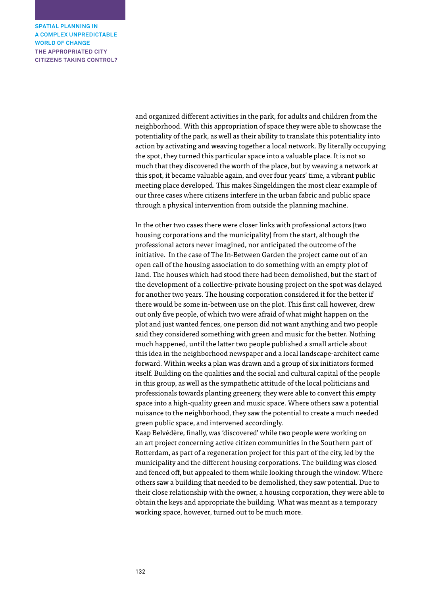> and organized different activities in the park, for adults and children from the neighborhood. With this appropriation of space they were able to showcase the potentiality of the park, as well as their ability to translate this potentiality into action by activating and weaving together a local network. By literally occupying the spot, they turned this particular space into a valuable place. It is not so much that they discovered the worth of the place, but by weaving a network at this spot, it became valuable again, and over four years' time, a vibrant public meeting place developed. This makes Singeldingen the most clear example of our three cases where citizens interfere in the urban fabric and public space through a physical intervention from outside the planning machine.

In the other two cases there were closer links with professional actors (two housing corporations and the municipality) from the start, although the professional actors never imagined, nor anticipated the outcome of the initiative. In the case of The In-Between Garden the project came out of an open call of the housing association to do something with an empty plot of land. The houses which had stood there had been demolished, but the start of the development of a collective-private housing project on the spot was delayed for another two years. The housing corporation considered it for the better if there would be some in-between use on the plot. This first call however, drew out only five people, of which two were afraid of what might happen on the plot and just wanted fences, one person did not want anything and two people said they considered something with green and music for the better. Nothing much happened, until the latter two people published a small article about this idea in the neighborhood newspaper and a local landscape-architect came forward. Within weeks a plan was drawn and a group of six initiators formed itself. Building on the qualities and the social and cultural capital of the people in this group, as well as the sympathetic attitude of the local politicians and professionals towards planting greenery, they were able to convert this empty space into a high-quality green and music space. Where others saw a potential nuisance to the neighborhood, they saw the potential to create a much needed green public space, and intervened accordingly.

Kaap Belvédère, finally, was 'discovered' while two people were working on an art project concerning active citizen communities in the Southern part of Rotterdam, as part of a regeneration project for this part of the city, led by the municipality and the different housing corporations. The building was closed and fenced off, but appealed to them while looking through the window. Where others saw a building that needed to be demolished, they saw potential. Due to their close relationship with the owner, a housing corporation, they were able to obtain the keys and appropriate the building. What was meant as a temporary working space, however, turned out to be much more.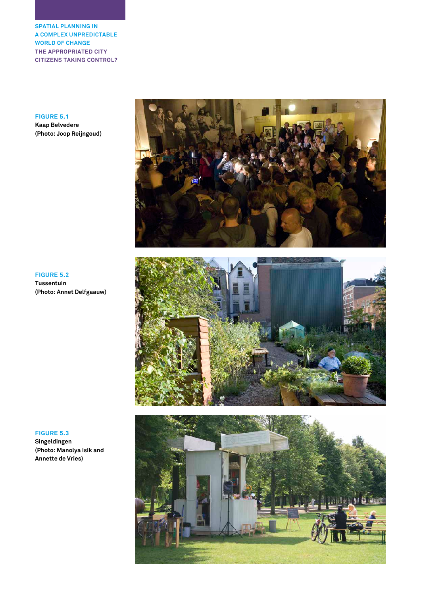**FIGURE 5.1 Kaap Belvedere**

**(Photo: Joop Reijngoud)**



**FIGURE 5.2 Tussentuin (Photo: Annet Delfgaauw)**





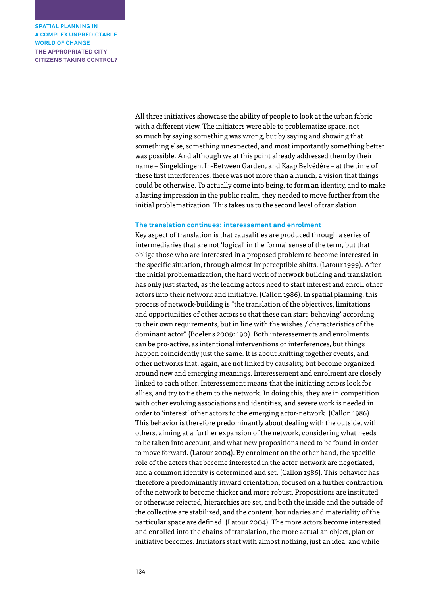> All three initiatives showcase the ability of people to look at the urban fabric with a different view. The initiators were able to problematize space, not so much by saying something was wrong, but by saying and showing that something else, something unexpected, and most importantly something better was possible. And although we at this point already addressed them by their name – Singeldingen, In-Between Garden, and Kaap Belvédère – at the time of these first interferences, there was not more than a hunch, a vision that things could be otherwise. To actually come into being, to form an identity, and to make a lasting impression in the public realm, they needed to move further from the initial problematization. This takes us to the second level of translation.

#### **The translation continues: interessement and enrolment**

Key aspect of translation is that causalities are produced through a series of intermediaries that are not 'logical' in the formal sense of the term, but that oblige those who are interested in a proposed problem to become interested in the specific situation, through almost imperceptible shifts. (Latour 1999). After the initial problematization, the hard work of network building and translation has only just started, as the leading actors need to start interest and enroll other actors into their network and initiative. (Callon 1986). In spatial planning, this process of network-building is "the translation of the objectives, limitations and opportunities of other actors so that these can start 'behaving' according to their own requirements, but in line with the wishes / characteristics of the dominant actor" (Boelens 2009: 190). Both interessements and enrolments can be pro-active, as intentional interventions or interferences, but things happen coincidently just the same. It is about knitting together events, and other networks that, again, are not linked by causality, but become organized around new and emerging meanings. Interessement and enrolment are closely linked to each other. Interessement means that the initiating actors look for allies, and try to tie them to the network. In doing this, they are in competition with other evolving associations and identities, and severe work is needed in order to 'interest' other actors to the emerging actor-network. (Callon 1986). This behavior is therefore predominantly about dealing with the outside, with others, aiming at a further expansion of the network, considering what needs to be taken into account, and what new propositions need to be found in order to move forward. (Latour 2004). By enrolment on the other hand, the specific role of the actors that become interested in the actor-network are negotiated, and a common identity is determined and set. (Callon 1986). This behavior has therefore a predominantly inward orientation, focused on a further contraction of the network to become thicker and more robust. Propositions are instituted or otherwise rejected, hierarchies are set, and both the inside and the outside of the collective are stabilized, and the content, boundaries and materiality of the particular space are defined. (Latour 2004). The more actors become interested and enrolled into the chains of translation, the more actual an object, plan or initiative becomes. Initiators start with almost nothing, just an idea, and while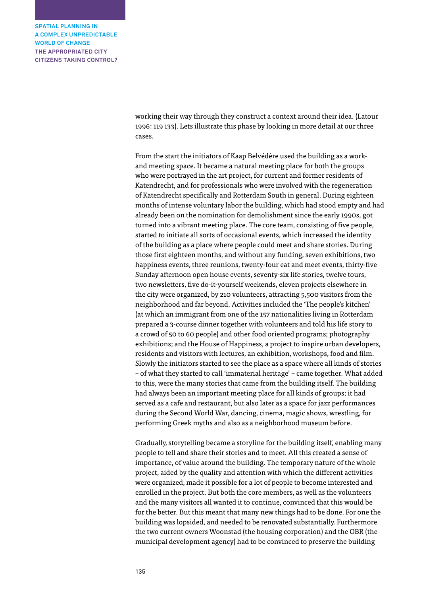> working their way through they construct a context around their idea. (Latour 1996: 119 133). Lets illustrate this phase by looking in more detail at our three cases.

From the start the initiators of Kaap Belvédère used the building as a workand meeting space. It became a natural meeting place for both the groups who were portrayed in the art project, for current and former residents of Katendrecht, and for professionals who were involved with the regeneration of Katendrecht specifically and Rotterdam South in general. During eighteen months of intense voluntary labor the building, which had stood empty and had already been on the nomination for demolishment since the early 1990s, got turned into a vibrant meeting place. The core team, consisting of five people, started to initiate all sorts of occasional events, which increased the identity of the building as a place where people could meet and share stories. During those first eighteen months, and without any funding, seven exhibitions, two happiness events, three reunions, twenty-four eat and meet events, thirty-five Sunday afternoon open house events, seventy-six life stories, twelve tours, two newsletters, five do-it-yourself weekends, eleven projects elsewhere in the city were organized, by 210 volunteers, attracting 5,500 visitors from the neighborhood and far beyond. Activities included the 'The people's kitchen' (at which an immigrant from one of the 157 nationalities living in Rotterdam prepared a 3-course dinner together with volunteers and told his life story to a crowd of 50 to 60 people) and other food oriented programs; photography exhibitions; and the House of Happiness, a project to inspire urban developers, residents and visitors with lectures, an exhibition, workshops, food and film. Slowly the initiators started to see the place as a space where all kinds of stories – of what they started to call 'immaterial heritage' – came together. What added to this, were the many stories that came from the building itself. The building had always been an important meeting place for all kinds of groups; it had served as a cafe and restaurant, but also later as a space for jazz performances during the Second World War, dancing, cinema, magic shows, wrestling, for performing Greek myths and also as a neighborhood museum before.

Gradually, storytelling became a storyline for the building itself, enabling many people to tell and share their stories and to meet. All this created a sense of importance, of value around the building. The temporary nature of the whole project, aided by the quality and attention with which the different activities were organized, made it possible for a lot of people to become interested and enrolled in the project. But both the core members, as well as the volunteers and the many visitors all wanted it to continue, convinced that this would be for the better. But this meant that many new things had to be done. For one the building was lopsided, and needed to be renovated substantially. Furthermore the two current owners Woonstad (the housing corporation) and the OBR (the municipal development agency) had to be convinced to preserve the building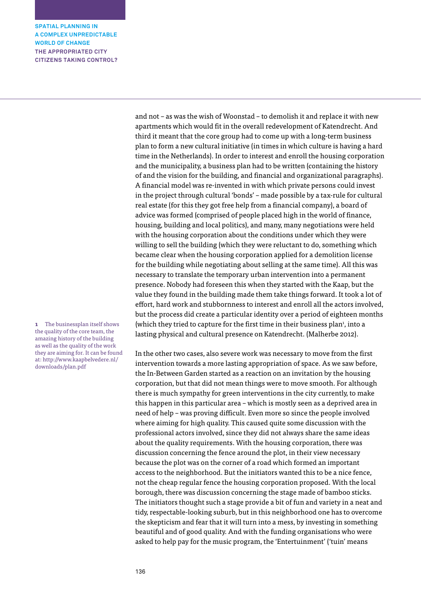and not – as was the wish of Woonstad – to demolish it and replace it with new apartments which would fit in the overall redevelopment of Katendrecht. And third it meant that the core group had to come up with a long-term business plan to form a new cultural initiative (in times in which culture is having a hard time in the Netherlands). In order to interest and enroll the housing corporation and the municipality, a business plan had to be written (containing the history of and the vision for the building, and financial and organizational paragraphs). A financial model was re-invented in with which private persons could invest in the project through cultural 'bonds' – made possible by a tax-rule for cultural real estate (for this they got free help from a financial company), a board of advice was formed (comprised of people placed high in the world of finance, housing, building and local politics), and many, many negotiations were held with the housing corporation about the conditions under which they were willing to sell the building (which they were reluctant to do, something which became clear when the housing corporation applied for a demolition license for the building while negotiating about selling at the same time). All this was necessary to translate the temporary urban intervention into a permanent presence. Nobody had foreseen this when they started with the Kaap, but the value they found in the building made them take things forward. It took a lot of effort, hard work and stubbornness to interest and enroll all the actors involved, but the process did create a particular identity over a period of eighteen months (which they tried to capture for the first time in their business plan<sup>1</sup>, into a lasting physical and cultural presence on Katendrecht. (Malherbe 2012).

In the other two cases, also severe work was necessary to move from the first intervention towards a more lasting appropriation of space. As we saw before, the In-Between Garden started as a reaction on an invitation by the housing corporation, but that did not mean things were to move smooth. For although there is much sympathy for green interventions in the city currently, to make this happen in this particular area – which is mostly seen as a deprived area in need of help – was proving difficult. Even more so since the people involved where aiming for high quality. This caused quite some discussion with the professional actors involved, since they did not always share the same ideas about the quality requirements. With the housing corporation, there was discussion concerning the fence around the plot, in their view necessary because the plot was on the corner of a road which formed an important access to the neighborhood. But the initiators wanted this to be a nice fence, not the cheap regular fence the housing corporation proposed. With the local borough, there was discussion concerning the stage made of bamboo sticks. The initiators thought such a stage provide a bit of fun and variety in a neat and tidy, respectable-looking suburb, but in this neighborhood one has to overcome the skepticism and fear that it will turn into a mess, by investing in something beautiful and of good quality. And with the funding organisations who were asked to help pay for the music program, the 'Entertuinment' ('tuin' means

**1** The businessplan itself shows the quality of the core team, the amazing history of the building as well as the quality of the work they are aiming for. It can be found at: http://www.kaapbelvedere.nl/ downloads/plan.pdf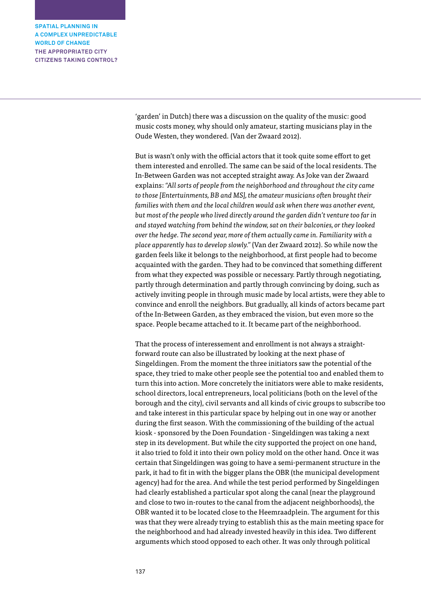> 'garden' in Dutch) there was a discussion on the quality of the music: good music costs money, why should only amateur, starting musicians play in the Oude Westen, they wondered. (Van der Zwaard 2012).

But is wasn't only with the official actors that it took quite some effort to get them interested and enrolled. The same can be said of the local residents. The In-Between Garden was not accepted straight away. As Joke van der Zwaard explains: *"All sorts of people from the neighborhood and throughout the city came to those [Entertuinments, BB and MS], the amateur musicians often brought their families with them and the local children would ask when there was another event, but most of the people who lived directly around the garden didn't venture too far in and stayed watching from behind the window, sat on their balconies, or they looked over the hedge. The second year, more of them actually came in. Familiarity with a place apparently has to develop slowly."* (Van der Zwaard 2012). So while now the garden feels like it belongs to the neighborhood, at first people had to become acquainted with the garden. They had to be convinced that something different from what they expected was possible or necessary. Partly through negotiating, partly through determination and partly through convincing by doing, such as actively inviting people in through music made by local artists, were they able to convince and enroll the neighbors. But gradually, all kinds of actors became part of the In-Between Garden, as they embraced the vision, but even more so the space. People became attached to it. It became part of the neighborhood.

That the process of interessement and enrollment is not always a straightforward route can also be illustrated by looking at the next phase of Singeldingen. From the moment the three initiators saw the potential of the space, they tried to make other people see the potential too and enabled them to turn this into action. More concretely the initiators were able to make residents, school directors, local entrepreneurs, local politicians (both on the level of the borough and the city), civil servants and all kinds of civic groups to subscribe too and take interest in this particular space by helping out in one way or another during the first season. With the commissioning of the building of the actual kiosk - sponsored by the Doen Foundation - Singeldingen was taking a next step in its development. But while the city supported the project on one hand, it also tried to fold it into their own policy mold on the other hand. Once it was certain that Singeldingen was going to have a semi-permanent structure in the park, it had to fit in with the bigger plans the OBR (the municipal development agency) had for the area. And while the test period performed by Singeldingen had clearly established a particular spot along the canal (near the playground and close to two in-routes to the canal from the adjacent neighborhoods), the OBR wanted it to be located close to the Heemraadplein. The argument for this was that they were already trying to establish this as the main meeting space for the neighborhood and had already invested heavily in this idea. Two different arguments which stood opposed to each other. It was only through political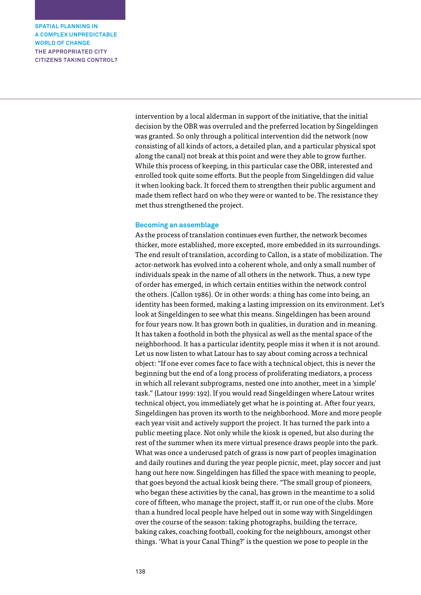> intervention by a local alderman in support of the initiative, that the initial decision by the OBR was overruled and the preferred location by Singeldingen was granted. So only through a political intervention did the network (now consisting of all kinds of actors, a detailed plan, and a particular physical spot along the canal) not break at this point and were they able to grow further. While this process of keeping, in this particular case the OBR, interested and enrolled took quite some efforts. But the people from Singeldingen did value it when looking back. It forced them to strengthen their public argument and made them reflect hard on who they were or wanted to be. The resistance they met thus strengthened the project.

#### **Becoming an assemblage**

As the process of translation continues even further, the network becomes thicker, more established, more excepted, more embedded in its surroundings. The end result of translation, according to Callon, is a state of mobilization. The actor-network has evolved into a coherent whole, and only a small number of individuals speak in the name of all others in the network. Thus, a new type of order has emerged, in which certain entities within the network control the others. (Callon 1986). Or in other words: a thing has come into being, an identity has been formed, making a lasting impression on its environment. Let's look at Singeldingen to see what this means. Singeldingen has been around for four years now. It has grown both in qualities, in duration and in meaning. It has taken a foothold in both the physical as well as the mental space of the neighborhood. It has a particular identity, people miss it when it is not around. Let us now listen to what Latour has to say about coming across a technical object: "If one ever comes face to face with a technical object, this is never the beginning but the end of a long process of proliferating mediators, a process in which all relevant subprograms, nested one into another, meet in a 'simple' task." (Latour 1999: 192). If you would read Singeldingen where Latour writes technical object, you immediately get what he is pointing at. After four years, Singeldingen has proven its worth to the neighborhood. More and more people each year visit and actively support the project. It has turned the park into a public meeting place. Not only while the kiosk is opened, but also during the rest of the summer when its mere virtual presence draws people into the park. What was once a underused patch of grass is now part of peoples imagination and daily routines and during the year people picnic, meet, play soccer and just hang out here now. Singeldingen has filled the space with meaning to people, that goes beyond the actual kiosk being there. "The small group of pioneers, who began these activities by the canal, has grown in the meantime to a solid core of fifteen, who manage the project, staff it, or run one of the clubs. More than a hundred local people have helped out in some way with Singeldingen over the course of the season: taking photographs, building the terrace, baking cakes, coaching football, cooking for the neighbours, amongst other things. 'What is your Canal Thing?' is the question we pose to people in the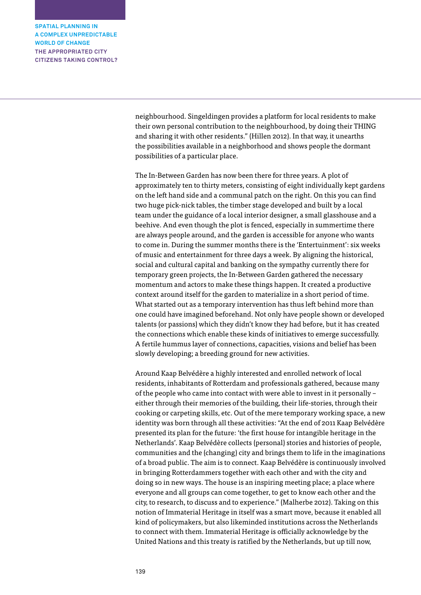> neighbourhood. Singeldingen provides a platform for local residents to make their own personal contribution to the neighbourhood, by doing their THING and sharing it with other residents." (Hillen 2012). In that way, it unearths the possibilities available in a neighborhood and shows people the dormant possibilities of a particular place.

The In-Between Garden has now been there for three years. A plot of approximately ten to thirty meters, consisting of eight individually kept gardens on the left hand side and a communal patch on the right. On this you can find two huge pick-nick tables, the timber stage developed and built by a local team under the guidance of a local interior designer, a small glasshouse and a beehive. And even though the plot is fenced, especially in summertime there are always people around, and the garden is accessible for anyone who wants to come in. During the summer months there is the 'Entertuinment': six weeks of music and entertainment for three days a week. By aligning the historical, social and cultural capital and banking on the sympathy currently there for temporary green projects, the In-Between Garden gathered the necessary momentum and actors to make these things happen. It created a productive context around itself for the garden to materialize in a short period of time. What started out as a temporary intervention has thus left behind more than one could have imagined beforehand. Not only have people shown or developed talents (or passions) which they didn't know they had before, but it has created the connections which enable these kinds of initiatives to emerge successfully. A fertile hummus layer of connections, capacities, visions and belief has been slowly developing; a breeding ground for new activities.

Around Kaap Belvédère a highly interested and enrolled network of local residents, inhabitants of Rotterdam and professionals gathered, because many of the people who came into contact with were able to invest in it personally – either through their memories of the building, their life-stories, through their cooking or carpeting skills, etc. Out of the mere temporary working space, a new identity was born through all these activities: "At the end of 2011 Kaap Belvédère presented its plan for the future: 'the first house for intangible heritage in the Netherlands'. Kaap Belvédère collects (personal) stories and histories of people, communities and the (changing) city and brings them to life in the imaginations of a broad public. The aim is to connect. Kaap Belvédère is continuously involved in bringing Rotterdammers together with each other and with the city and doing so in new ways. The house is an inspiring meeting place; a place where everyone and all groups can come together, to get to know each other and the city, to research, to discuss and to experience." (Malherbe 2012). Taking on this notion of Immaterial Heritage in itself was a smart move, because it enabled all kind of policymakers, but also likeminded institutions across the Netherlands to connect with them. Immaterial Heritage is officially acknowledge by the United Nations and this treaty is ratified by the Netherlands, but up till now,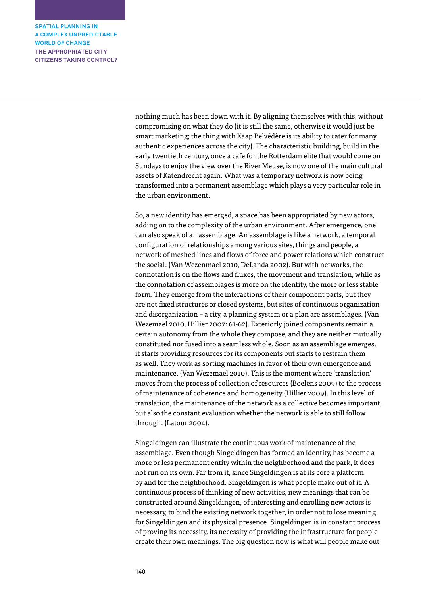> nothing much has been down with it. By aligning themselves with this, without compromising on what they do (it is still the same, otherwise it would just be smart marketing; the thing with Kaap Belvédère is its ability to cater for many authentic experiences across the city). The characteristic building, build in the early twentieth century, once a cafe for the Rotterdam elite that would come on Sundays to enjoy the view over the River Meuse, is now one of the main cultural assets of Katendrecht again. What was a temporary network is now being transformed into a permanent assemblage which plays a very particular role in the urban environment.

> So, a new identity has emerged, a space has been appropriated by new actors, adding on to the complexity of the urban environment. After emergence, one can also speak of an assemblage. An assemblage is like a network, a temporal configuration of relationships among various sites, things and people, a network of meshed lines and flows of force and power relations which construct the social. (Van Wezenmael 2010, DeLanda 2002). But with networks, the connotation is on the flows and fluxes, the movement and translation, while as the connotation of assemblages is more on the identity, the more or less stable form. They emerge from the interactions of their component parts, but they are not fixed structures or closed systems, but sites of continuous organization and disorganization – a city, a planning system or a plan are assemblages. (Van Wezemael 2010, Hillier 2007: 61-62). Exteriorly joined components remain a certain autonomy from the whole they compose, and they are neither mutually constituted nor fused into a seamless whole. Soon as an assemblage emerges, it starts providing resources for its components but starts to restrain them as well. They work as sorting machines in favor of their own emergence and maintenance. (Van Wezemael 2010). This is the moment where 'translation' moves from the process of collection of resources (Boelens 2009) to the process of maintenance of coherence and homogeneity (Hillier 2009). In this level of translation, the maintenance of the network as a collective becomes important, but also the constant evaluation whether the network is able to still follow through. (Latour 2004).

Singeldingen can illustrate the continuous work of maintenance of the assemblage. Even though Singeldingen has formed an identity, has become a more or less permanent entity within the neighborhood and the park, it does not run on its own. Far from it, since Singeldingen is at its core a platform by and for the neighborhood. Singeldingen is what people make out of it. A continuous process of thinking of new activities, new meanings that can be constructed around Singeldingen, of interesting and enrolling new actors is necessary, to bind the existing network together, in order not to lose meaning for Singeldingen and its physical presence. Singeldingen is in constant process of proving its necessity, its necessity of providing the infrastructure for people create their own meanings. The big question now is what will people make out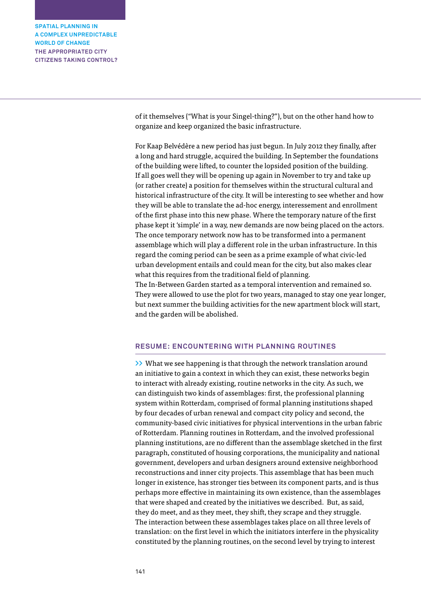> of it themselves ("What is your Singel-thing?"), but on the other hand how to organize and keep organized the basic infrastructure.

For Kaap Belvédère a new period has just begun. In July 2012 they finally, after a long and hard struggle, acquired the building. In September the foundations of the building were lifted, to counter the lopsided position of the building. If all goes well they will be opening up again in November to try and take up (or rather create) a position for themselves within the structural cultural and historical infrastructure of the city. It will be interesting to see whether and how they will be able to translate the ad-hoc energy, interessement and enrollment of the first phase into this new phase. Where the temporary nature of the first phase kept it 'simple' in a way, new demands are now being placed on the actors. The once temporary network now has to be transformed into a permanent assemblage which will play a different role in the urban infrastructure. In this regard the coming period can be seen as a prime example of what civic-led urban development entails and could mean for the city, but also makes clear what this requires from the traditional field of planning. The In-Between Garden started as a temporal intervention and remained so.

They were allowed to use the plot for two years, managed to stay one year longer, but next summer the building activities for the new apartment block will start, and the garden will be abolished.

# **RESUME: ENCOUNTERING WITH PLANNING ROUTINES**

**>>** What we see happening is that through the network translation around an initiative to gain a context in which they can exist, these networks begin to interact with already existing, routine networks in the city. As such, we can distinguish two kinds of assemblages: first, the professional planning system within Rotterdam, comprised of formal planning institutions shaped by four decades of urban renewal and compact city policy and second, the community-based civic initiatives for physical interventions in the urban fabric of Rotterdam. Planning routines in Rotterdam, and the involved professional planning institutions, are no different than the assemblage sketched in the first paragraph, constituted of housing corporations, the municipality and national government, developers and urban designers around extensive neighborhood reconstructions and inner city projects. This assemblage that has been much longer in existence, has stronger ties between its component parts, and is thus perhaps more effective in maintaining its own existence, than the assemblages that were shaped and created by the initiatives we described. But, as said, they do meet, and as they meet, they shift, they scrape and they struggle. The interaction between these assemblages takes place on all three levels of translation: on the first level in which the initiators interfere in the physicality constituted by the planning routines, on the second level by trying to interest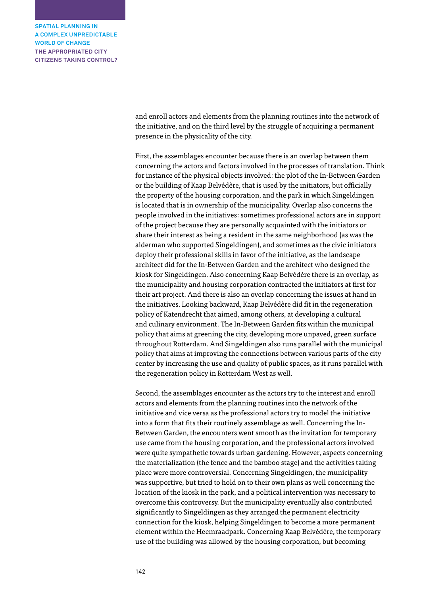> and enroll actors and elements from the planning routines into the network of the initiative, and on the third level by the struggle of acquiring a permanent presence in the physicality of the city.

First, the assemblages encounter because there is an overlap between them concerning the actors and factors involved in the processes of translation. Think for instance of the physical objects involved: the plot of the In-Between Garden or the building of Kaap Belvédère, that is used by the initiators, but officially the property of the housing corporation, and the park in which Singeldingen is located that is in ownership of the municipality. Overlap also concerns the people involved in the initiatives: sometimes professional actors are in support of the project because they are personally acquainted with the initiators or share their interest as being a resident in the same neighborhood (as was the alderman who supported Singeldingen), and sometimes as the civic initiators deploy their professional skills in favor of the initiative, as the landscape architect did for the In-Between Garden and the architect who designed the kiosk for Singeldingen. Also concerning Kaap Belvédère there is an overlap, as the municipality and housing corporation contracted the initiators at first for their art project. And there is also an overlap concerning the issues at hand in the initiatives. Looking backward, Kaap Belvédère did fit in the regeneration policy of Katendrecht that aimed, among others, at developing a cultural and culinary environment. The In-Between Garden fits within the municipal policy that aims at greening the city, developing more unpaved, green surface throughout Rotterdam. And Singeldingen also runs parallel with the municipal policy that aims at improving the connections between various parts of the city center by increasing the use and quality of public spaces, as it runs parallel with the regeneration policy in Rotterdam West as well.

Second, the assemblages encounter as the actors try to the interest and enroll actors and elements from the planning routines into the network of the initiative and vice versa as the professional actors try to model the initiative into a form that fits their routinely assemblage as well. Concerning the In-Between Garden, the encounters went smooth as the invitation for temporary use came from the housing corporation, and the professional actors involved were quite sympathetic towards urban gardening. However, aspects concerning the materialization (the fence and the bamboo stage) and the activities taking place were more controversial. Concerning Singeldingen, the municipality was supportive, but tried to hold on to their own plans as well concerning the location of the kiosk in the park, and a political intervention was necessary to overcome this controversy. But the municipality eventually also contributed significantly to Singeldingen as they arranged the permanent electricity connection for the kiosk, helping Singeldingen to become a more permanent element within the Heemraadpark. Concerning Kaap Belvédère, the temporary use of the building was allowed by the housing corporation, but becoming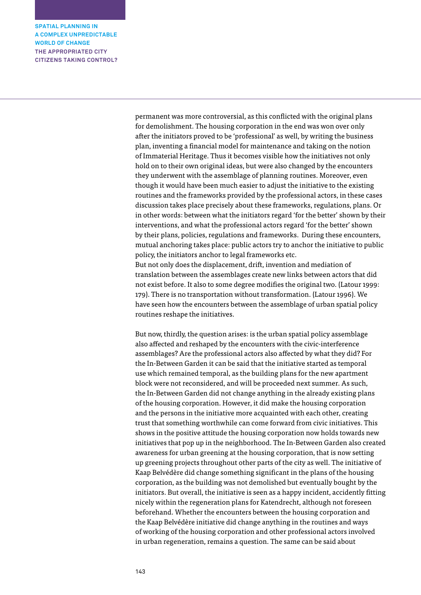> permanent was more controversial, as this conflicted with the original plans for demolishment. The housing corporation in the end was won over only after the initiators proved to be 'professional' as well, by writing the business plan, inventing a financial model for maintenance and taking on the notion of Immaterial Heritage. Thus it becomes visible how the initiatives not only hold on to their own original ideas, but were also changed by the encounters they underwent with the assemblage of planning routines. Moreover, even though it would have been much easier to adjust the initiative to the existing routines and the frameworks provided by the professional actors, in these cases discussion takes place precisely about these frameworks, regulations, plans. Or in other words: between what the initiators regard 'for the better' shown by their interventions, and what the professional actors regard 'for the better' shown by their plans, policies, regulations and frameworks. During these encounters, mutual anchoring takes place: public actors try to anchor the initiative to public policy, the initiators anchor to legal frameworks etc. But not only does the displacement, drift, invention and mediation of translation between the assemblages create new links between actors that did

not exist before. It also to some degree modifies the original two. (Latour 1999: 179). There is no transportation without transformation. (Latour 1996). We have seen how the encounters between the assemblage of urban spatial policy routines reshape the initiatives.

But now, thirdly, the question arises: is the urban spatial policy assemblage also affected and reshaped by the encounters with the civic-interference assemblages? Are the professional actors also affected by what they did? For the In-Between Garden it can be said that the initiative started as temporal use which remained temporal, as the building plans for the new apartment block were not reconsidered, and will be proceeded next summer. As such, the In-Between Garden did not change anything in the already existing plans of the housing corporation. However, it did make the housing corporation and the persons in the initiative more acquainted with each other, creating trust that something worthwhile can come forward from civic initiatives. This shows in the positive attitude the housing corporation now holds towards new initiatives that pop up in the neighborhood. The In-Between Garden also created awareness for urban greening at the housing corporation, that is now setting up greening projects throughout other parts of the city as well. The initiative of Kaap Belvédère did change something significant in the plans of the housing corporation, as the building was not demolished but eventually bought by the initiators. But overall, the initiative is seen as a happy incident, accidently fitting nicely within the regeneration plans for Katendrecht, although not foreseen beforehand. Whether the encounters between the housing corporation and the Kaap Belvédère initiative did change anything in the routines and ways of working of the housing corporation and other professional actors involved in urban regeneration, remains a question. The same can be said about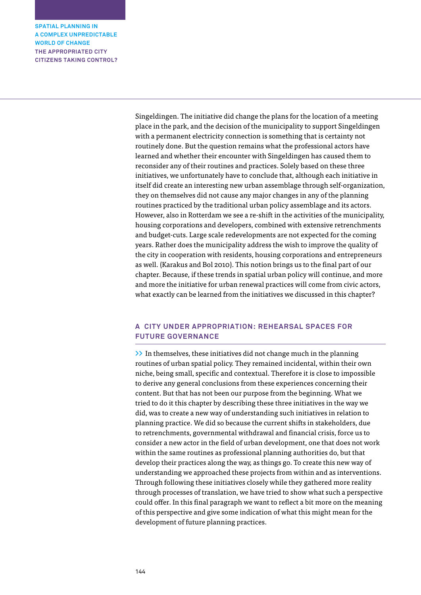> Singeldingen. The initiative did change the plans for the location of a meeting place in the park, and the decision of the municipality to support Singeldingen with a permanent electricity connection is something that is certainty not routinely done. But the question remains what the professional actors have learned and whether their encounter with Singeldingen has caused them to reconsider any of their routines and practices. Solely based on these three initiatives, we unfortunately have to conclude that, although each initiative in itself did create an interesting new urban assemblage through self-organization, they on themselves did not cause any major changes in any of the planning routines practiced by the traditional urban policy assemblage and its actors. However, also in Rotterdam we see a re-shift in the activities of the municipality, housing corporations and developers, combined with extensive retrenchments and budget-cuts. Large scale redevelopments are not expected for the coming years. Rather does the municipality address the wish to improve the quality of the city in cooperation with residents, housing corporations and entrepreneurs as well. (Karakus and Bol 2010). This notion brings us to the final part of our chapter. Because, if these trends in spatial urban policy will continue, and more and more the initiative for urban renewal practices will come from civic actors, what exactly can be learned from the initiatives we discussed in this chapter?

# **A CITY UNDER APPROPRIATION: REHEARSAL SPACES FOR FUTURE GOVERNANCE**

**>>** In themselves, these initiatives did not change much in the planning routines of urban spatial policy. They remained incidental, within their own niche, being small, specific and contextual. Therefore it is close to impossible to derive any general conclusions from these experiences concerning their content. But that has not been our purpose from the beginning. What we tried to do it this chapter by describing these three initiatives in the way we did, was to create a new way of understanding such initiatives in relation to planning practice. We did so because the current shifts in stakeholders, due to retrenchments, governmental withdrawal and financial crisis, force us to consider a new actor in the field of urban development, one that does not work within the same routines as professional planning authorities do, but that develop their practices along the way, as things go. To create this new way of understanding we approached these projects from within and as interventions. Through following these initiatives closely while they gathered more reality through processes of translation, we have tried to show what such a perspective could offer. In this final paragraph we want to reflect a bit more on the meaning of this perspective and give some indication of what this might mean for the development of future planning practices.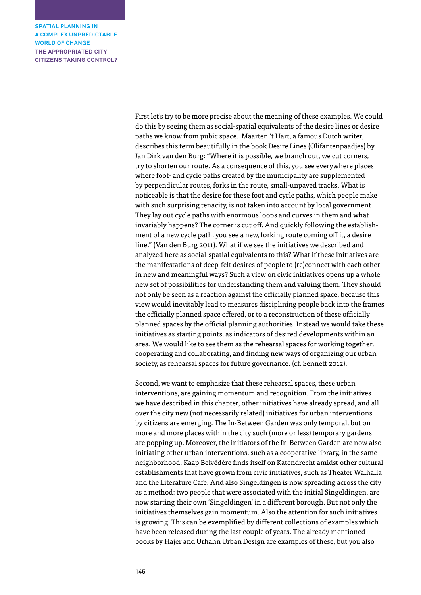> First let's try to be more precise about the meaning of these examples. We could do this by seeing them as social-spatial equivalents of the desire lines or desire paths we know from pubic space. Maarten 't Hart, a famous Dutch writer, describes this term beautifully in the book Desire Lines (Olifantenpaadjes) by Jan Dirk van den Burg: "Where it is possible, we branch out, we cut corners, try to shorten our route. As a consequence of this, you see everywhere places where foot- and cycle paths created by the municipality are supplemented by perpendicular routes, forks in the route, small-unpaved tracks. What is noticeable is that the desire for these foot and cycle paths, which people make with such surprising tenacity, is not taken into account by local government. They lay out cycle paths with enormous loops and curves in them and what invariably happens? The corner is cut off. And quickly following the establishment of a new cycle path, you see a new, forking route coming off it, a desire line." (Van den Burg 2011). What if we see the initiatives we described and analyzed here as social-spatial equivalents to this? What if these initiatives are the manifestations of deep-felt desires of people to (re)connect with each other in new and meaningful ways? Such a view on civic initiatives opens up a whole new set of possibilities for understanding them and valuing them. They should not only be seen as a reaction against the officially planned space, because this view would inevitably lead to measures disciplining people back into the frames the officially planned space offered, or to a reconstruction of these officially planned spaces by the official planning authorities. Instead we would take these initiatives as starting points, as indicators of desired developments within an area. We would like to see them as the rehearsal spaces for working together, cooperating and collaborating, and finding new ways of organizing our urban society, as rehearsal spaces for future governance. (cf. Sennett 2012).

> Second, we want to emphasize that these rehearsal spaces, these urban interventions, are gaining momentum and recognition. From the initiatives we have described in this chapter, other initiatives have already spread, and all over the city new (not necessarily related) initiatives for urban interventions by citizens are emerging. The In-Between Garden was only temporal, but on more and more places within the city such (more or less) temporary gardens are popping up. Moreover, the initiators of the In-Between Garden are now also initiating other urban interventions, such as a cooperative library, in the same neighborhood. Kaap Belvédère finds itself on Katendrecht amidst other cultural establishments that have grown from civic initiatives, such as Theater Walhalla and the Literature Cafe. And also Singeldingen is now spreading across the city as a method: two people that were associated with the initial Singeldingen, are now starting their own 'Singeldingen' in a different borough. But not only the initiatives themselves gain momentum. Also the attention for such initiatives is growing. This can be exemplified by different collections of examples which have been released during the last couple of years. The already mentioned books by Hajer and Urhahn Urban Design are examples of these, but you also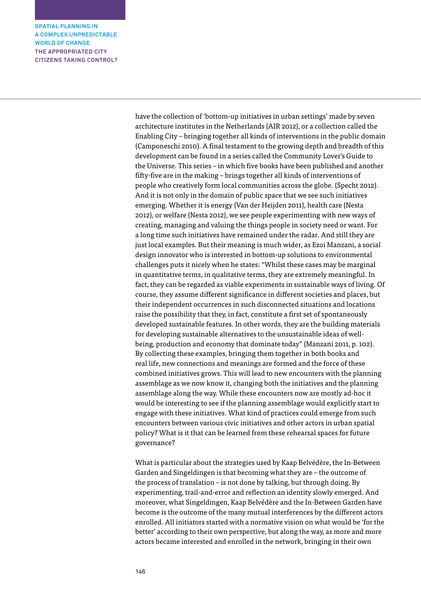> have the collection of 'bottom-up initiatives in urban settings' made by seven architecture institutes in the Netherlands (AIR 2012), or a collection called the Enabling City – bringing together all kinds of interventions in the public domain (Camponeschi 2010). A final testament to the growing depth and breadth of this development can be found in a series called the Community Lover's Guide to the Universe. This series – in which five books have been published and another fifty-five are in the making – brings together all kinds of interventions of people who creatively form local communities across the globe. (Specht 2012). And it is not only in the domain of public space that we see such initiatives emerging. Whether it is energy (Van der Heijden 2011), health care (Nesta 2012), or welfare (Nesta 2012), we see people experimenting with new ways of creating, managing and valuing the things people in society need or want. For a long time such initiatives have remained under the radar. And still they are just local examples. But their meaning is much wider, as Ezoi Manzani, a social design innovator who is interested in bottom-up solutions to environmental challenges puts it nicely when he states: "Whilst these cases may be marginal in quantitative terms, in qualitative terms, they are extremely meaningful. In fact, they can be regarded as viable experiments in sustainable ways of living. Of course, they assume different significance in different societies and places, but their independent occurrences in such disconnected situations and locations raise the possibility that they, in fact, constitute a first set of spontaneously developed sustainable features. In other words, they are the building materials for developing sustainable alternatives to the unsustainable ideas of wellbeing, production and economy that dominate today" (Manzani 2011, p. 102). By collecting these examples, bringing them together in both books and real life, new connections and meanings are formed and the force of these combined initiatives grows. This will lead to new encounters with the planning assemblage as we now know it, changing both the initiatives and the planning assemblage along the way. While these encounters now are mostly ad-hoc it would be interesting to see if the planning assemblage would explicitly start to engage with these initiatives. What kind of practices could emerge from such encounters between various civic initiatives and other actors in urban spatial policy? What is it that can be learned from these rehearsal spaces for future governance?

> What is particular about the strategies used by Kaap Belvédère, the In-Between Garden and Singeldingen is that becoming what they are – the outcome of the process of translation – is not done by talking, but through doing. By experimenting, trail-and-error and reflection an identity slowly emerged. And moreover, what Singeldingen, Kaap Belvédère and the In-Between Garden have become is the outcome of the many mutual interferences by the different actors enrolled. All initiators started with a normative vision on what would be 'for the better' according to their own perspective, but along the way, as more and more actors became interested and enrolled in the network, bringing in their own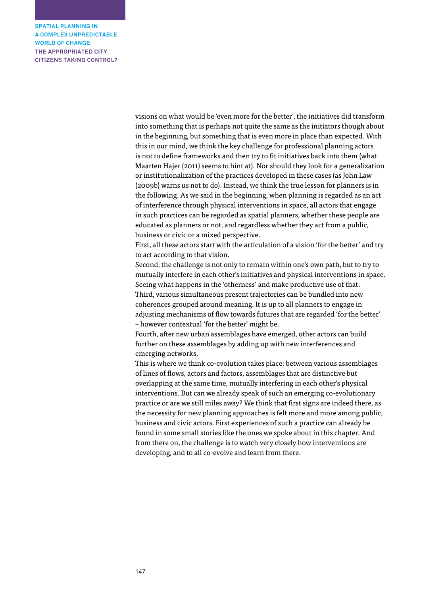> visions on what would be 'even more for the better', the initiatives did transform into something that is perhaps not quite the same as the initiators though about in the beginning, but something that is even more in place than expected. With this in our mind, we think the key challenge for professional planning actors is not to define frameworks and then try to fit initiatives back into them (what Maarten Hajer (2011) seems to hint at). Nor should they look for a generalization or institutionalization of the practices developed in these cases (as John Law (2009b) warns us not to do). Instead, we think the true lesson for planners is in the following. As we said in the beginning, when planning is regarded as an act of interference through physical interventions in space, all actors that engage in such practices can be regarded as spatial planners, whether these people are educated as planners or not, and regardless whether they act from a public, business or civic or a mixed perspective.

> First, all these actors start with the articulation of a vision 'for the better' and try to act according to that vision.

> Second, the challenge is not only to remain within one's own path, but to try to mutually interfere in each other's initiatives and physical interventions in space. Seeing what happens in the 'otherness' and make productive use of that. Third, various simultaneous present trajectories can be bundled into new coherences grouped around meaning. It is up to all planners to engage in adjusting mechanisms of flow towards futures that are regarded 'for the better' – however contextual 'for the better' might be.

Fourth, after new urban assemblages have emerged, other actors can build further on these assemblages by adding up with new interferences and emerging networks.

This is where we think co-evolution takes place: between various assemblages of lines of flows, actors and factors, assemblages that are distinctive but overlapping at the same time, mutually interfering in each other's physical interventions. But can we already speak of such an emerging co-evolutionary practice or are we still miles away? We think that first signs are indeed there, as the necessity for new planning approaches is felt more and more among public, business and civic actors. First experiences of such a practice can already be found in some small stories like the ones we spoke about in this chapter. And from there on, the challenge is to watch very closely how interventions are developing, and to all co-evolve and learn from there.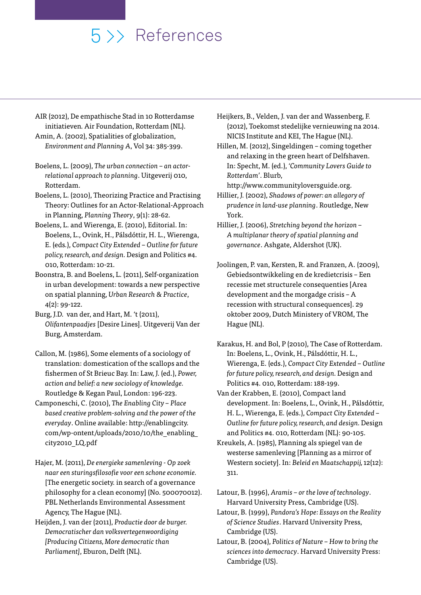# 5 >> References

- AIR (2012), De empathische Stad in 10 Rotterdamse initiatieven*.* Air Foundation, Rotterdam (NL).
- Amin, A. (2002), Spatialities of globalization, *Environment and Planning A*, Vol 34: 385-399.
- Boelens, L. (2009), *The urban connection an actorrelational approach to planning*. Uitgeverij 010, Rotterdam.
- Boelens, L. (2010), Theorizing Practice and Practising Theory: Outlines for an Actor-Relational-Approach in Planning, *Planning Theory*, 9(1): 28-62.
- Boelens, L. and Wierenga, E. (2010), Editorial. In: Boelens, L., Ovink, H., Pálsdóttir, H. L., Wierenga, E. (eds*.*), *Compact City Extended – Outline for future policy, research, and design.* Design and Politics #4. 010, Rotterdam: 10-21.
- Boonstra, B. and Boelens, L. (2011), Self-organization in urban development: towards a new perspective on spatial planning, *Urban Research & Practice*, 4(2): 99-122.
- Burg, J.D. van der, and Hart, M. 't (2011), *Olifantenpaadjes* [Desire Lines]. Uitgeverij Van der Burg, Amsterdam.
- Callon, M. (1986), Some elements of a sociology of translation: domestication of the scallops and the fishermen of St Brieuc Bay. In: Law, J. (ed.), *Power, action and belief: a new sociology of knowledge.* Routledge & Kegan Paul, London: 196-223.
- Camponeschi, C. (2010), *The Enabling City Place based creative problem-solving and the power of the everyday*. Online available: http://enablingcity. com/wp-ontent/uploads/2010/10/the\_enabling\_ city2010\_LQ.pdf
- Hajer, M. (2011), *De energieke samenleving Op zoek naar een sturingsfilosofie voor een schone economie.* [The energetic society. in search of a governance philosophy for a clean economy] (No. 500070012). PBL Netherlands Environmental Assessment Agency, The Hague (NL).
- Heijden, J. van der (2011), *Productie door de burger. Democratischer dan volksvertegenwoordiging [Producing Citizens, More democratic than Parliament]*, Eburon, Delft (NL).
- Heijkers, B., Velden, J. van der and Wassenberg, F. (2012), Toekomst stedelijke vernieuwing na 2014. NICIS Institute and KEI, The Hague (NL).
- Hillen, M. (2012), Singeldingen coming together and relaxing in the green heart of Delfshaven. In: Specht, M. (ed.), *'Community Lovers Guide to Rotterdam'*. Blurb,

http://www.communityloversguide.org. Hillier, J. (2002), *Shadows of power: an allegory of* 

- *prudence in land-use planning*. Routledge, New York.
- Hillier, J. (2006), *Stretching beyond the horizon A multiplanar theory of spatial planning and governance*. Ashgate, Aldershot (UK).
- Joolingen, P. van, Kersten, R. and Franzen, A. (2009), Gebiedsontwikkeling en de kredietcrisis – Een recessie met structurele consequenties [Area development and the morgadge crisis – A recession with structural consequences]. 29 oktober 2009, Dutch Ministery of VROM, The Hague (NL).
- Karakus, H. and Bol, P (2010), The Case of Rotterdam. In: Boelens, L., Ovink, H., Pálsdóttir, H. L., Wierenga, E. (eds.), *Compact City Extended – Outline for future policy, research, and design.* Design and Politics #4. 010, Rotterdam: 188-199.
- Van der Krabben, E. (2010), Compact land development. In: Boelens, L., Ovink, H., Pálsdóttir, H. L., Wierenga, E. (eds.), *Compact City Extended – Outline for future policy, research, and design.* Design and Politics #4. 010, Rotterdam (NL): 90-105.
- Kreukels, A. (1985), Planning als spiegel van de westerse samenleving [Planning as a mirror of Western society]. In: *Beleid en Maatschappij,* 12(12): 311.
- Latour, B. (1996), *Aramis or the love of technology*. Harvard University Press, Cambridge (US).
- Latour, B. (1999), *Pandora's Hope: Essays on the Reality of Science Studies*. Harvard University Press, Cambridge (US).
- Latour, B. (2004), *Politics of Nature How to bring the sciences into democracy*. Harvard University Press: Cambridge (US).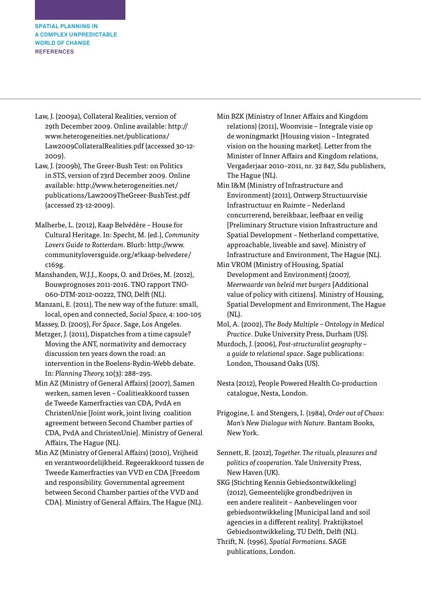**SPATIAL PLANNING IN A COMPLEX UNPREDICTABLE WORLD OF CHANGE REFERENCES**

- Law, J. (2009a), Collateral Realities, version of 29th December 2009. Online available: http:// www.heterogeneities.net/publications/ Law2009CollateralRealities.pdf (accessed 30-12- 2009).
- Law, J. (2009b), The Greer-Bush Test: on Politics in STS, version of 23rd December 2009. Online available: http://www.heterogeneities.net/ publications/Law2009TheGreer-BushTest.pdf (accessed 23-12-2009).
- Malherbe, L. (2012), Kaap Belvédère House for Cultural Heritage. In: Specht, M. (ed.), *Community Lovers Guide to Rotterdam*. Blurb: http://www. communityloversguide.org/#!kaap-belvedere/ c169g.
- Manshanden, W.J.J., Koops, O. and Dröes, M. (2012), Bouwprognoses 2011-2016. TNO rapport TNO-060-DTM-2012-00222, TNO, Delft (NL).
- Manzani, E. (2011), The new way of the future: small, local, open and connected, *Social Space,* 4: 100-105
- Massey, D. (2005), *For Space*. Sage, Los Angeles.
- Metzger, J. (2011), Dispatches from a time capsule? Moving the ANT, normativity and democracy discussion ten years down the road: an intervention in the Boelens-Rydin-Webb debate. In: *Planning Theory,* 10(3): 288–295.
- Min AZ (Ministry of General Affairs) (2007), Samen werken, samen leven – Coalitieakkoord tussen de Tweede Kamerfracties van CDA, PvdA en ChristenUnie [Joint work, joint living coalition agreement between Second Chamber parties of CDA, PvdA and ChristenUnie]. Ministry of General Affairs, The Hague (NL).
- Min AZ (Ministry of General Affairs) (2010), Vrijheid en verantwoordelijkheid. Regeerakkoord tussen de Tweede Kamerfracties van VVD en CDA [Freedom and responsibility. Governmental agreement between Second Chamber parties of the VVD and CDA]. Ministry of General Affairs, The Hague (NL).
- Min BZK (Ministry of Inner Affairs and Kingdom relations) (2011), Woonvisie – Integrale visie op de woningmarkt [Housing vision – Integrated vision on the housing market]. Letter from the Minister of Inner Affairs and Kingdom relations, Vergaderjaar 2010–2011, nr. 32 847, Sdu publishers, The Hague (NL).
- Min I&M (Ministry of Infrastructure and Environment) (2011), Ontwerp Structuurvisie Infrastructuur en Ruimte – Nederland concurrerend, bereikbaar, leefbaar en veilig [Preliminary Structure vision Infrastructure and Spatial Development – Netherland compettative, approachable, liveable and save]. Ministry of Infrastructure and Environment, The Hague (NL).
- Min VROM (Ministry of Housing, Spatial Development and Environment) (2007*), Meerwaarde van beleid met burgers* [Additional value of policy with citizens]. Ministry of Housing, Spatial Development and Environment, The Hague (NL).
- Mol, A. (2002), *The Body Multiple Ontology in Medical Practice*. Duke University Press, Durham (US).
- Murdoch, J. (2006), *Post-structuralist geography a guide to relational space*. Sage publications: London, Thousand Oaks (US).
- Nesta (2012), People Powered Health Co-production catalogue, Nesta, London.
- Prigogine, I. and Stengers, I. (1984), *Order out of Chaos: Man's New Dialogue with Nature.* Bantam Books, New York.

Sennett, R. (2012), *Together. The rituals, pleasures and politics of cooperation.* Yale University Press, New Haven (UK).

SKG (Stichting Kennis Gebiedsontwikkeling) (2012), Gemeentelijke grondbedrijven in een andere realiteit – Aanbevelingen voor gebiedsontwikkeling [Municipal land and soil agencies in a different reality]. Praktijkstoel Gebiedsontwikkeling, TU Delft, Delft (NL).

Thrift, N. (1996), *Spatial Formations.* SAGE publications, London.